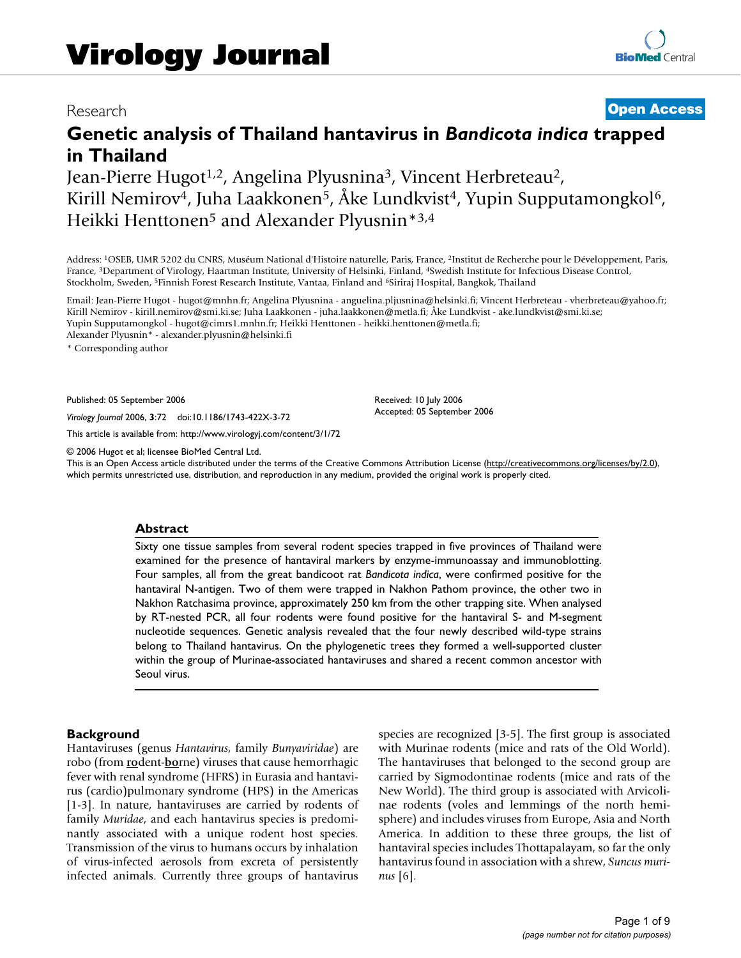# Research **[Open Access](http://www.biomedcentral.com/info/about/charter/)**

# **Genetic analysis of Thailand hantavirus in** *Bandicota indica* **trapped in Thailand**

Jean-Pierre Hugot<sup>1,2</sup>, Angelina Plyusnina<sup>3</sup>, Vincent Herbreteau<sup>2</sup>, Kirill Nemirov<sup>4</sup>, Juha Laakkonen<sup>5</sup>, Åke Lundkvist<sup>4</sup>, Yupin Supputamongkol<sup>6</sup>, Heikki Henttonen<sup>5</sup> and Alexander Plyusnin<sup>\*3,4</sup>

Address: 1OSEB, UMR 5202 du CNRS, Muséum National d'Histoire naturelle, Paris, France, 2Institut de Recherche pour le Développement, Paris, France, 3Department of Virology, Haartman Institute, University of Helsinki, Finland, 4Swedish Institute for Infectious Disease Control, Stockholm, Sweden, 5Finnish Forest Research Institute, Vantaa, Finland and 6Siriraj Hospital, Bangkok, Thailand

Email: Jean-Pierre Hugot - hugot@mnhn.fr; Angelina Plyusnina - anguelina.pljusnina@helsinki.fi; Vincent Herbreteau - vherbreteau@yahoo.fr; Kirill Nemirov - kirill.nemirov@smi.ki.se; Juha Laakkonen - juha.laakkonen@metla.fi; Åke Lundkvist - ake.lundkvist@smi.ki.se; Yupin Supputamongkol - hugot@cimrs1.mnhn.fr; Heikki Henttonen - heikki.henttonen@metla.fi; Alexander Plyusnin\* - alexander.plyusnin@helsinki.fi

> Received: 10 July 2006 Accepted: 05 September 2006

\* Corresponding author

Published: 05 September 2006

*Virology Journal* 2006, **3**:72 doi:10.1186/1743-422X-3-72

[This article is available from: http://www.virologyj.com/content/3/1/72](http://www.virologyj.com/content/3/1/72)

© 2006 Hugot et al; licensee BioMed Central Ltd.

This is an Open Access article distributed under the terms of the Creative Commons Attribution License [\(http://creativecommons.org/licenses/by/2.0\)](http://creativecommons.org/licenses/by/2.0), which permits unrestricted use, distribution, and reproduction in any medium, provided the original work is properly cited.

#### **Abstract**

Sixty one tissue samples from several rodent species trapped in five provinces of Thailand were examined for the presence of hantaviral markers by enzyme-immunoassay and immunoblotting. Four samples, all from the great bandicoot rat *Bandicota indica*, were confirmed positive for the hantaviral N-antigen. Two of them were trapped in Nakhon Pathom province, the other two in Nakhon Ratchasima province, approximately 250 km from the other trapping site. When analysed by RT-nested PCR, all four rodents were found positive for the hantaviral S- and M-segment nucleotide sequences. Genetic analysis revealed that the four newly described wild-type strains belong to Thailand hantavirus. On the phylogenetic trees they formed a well-supported cluster within the group of Murinae-associated hantaviruses and shared a recent common ancestor with Seoul virus.

#### **Background**

Hantaviruses (genus *Hantavirus*, family *Bunyaviridae*) are robo (from **ro**dent-**bo**rne) viruses that cause hemorrhagic fever with renal syndrome (HFRS) in Eurasia and hantavirus (cardio)pulmonary syndrome (HPS) in the Americas [1-3]. In nature, hantaviruses are carried by rodents of family *Muridae*, and each hantavirus species is predominantly associated with a unique rodent host species. Transmission of the virus to humans occurs by inhalation of virus-infected aerosols from excreta of persistently infected animals. Currently three groups of hantavirus species are recognized [3-5]. The first group is associated with Murinae rodents (mice and rats of the Old World). The hantaviruses that belonged to the second group are carried by Sigmodontinae rodents (mice and rats of the New World). The third group is associated with Arvicolinae rodents (voles and lemmings of the north hemisphere) and includes viruses from Europe, Asia and North America. In addition to these three groups, the list of hantaviral species includes Thottapalayam, so far the only hantavirus found in association with a shrew, *Suncus murinus* [6].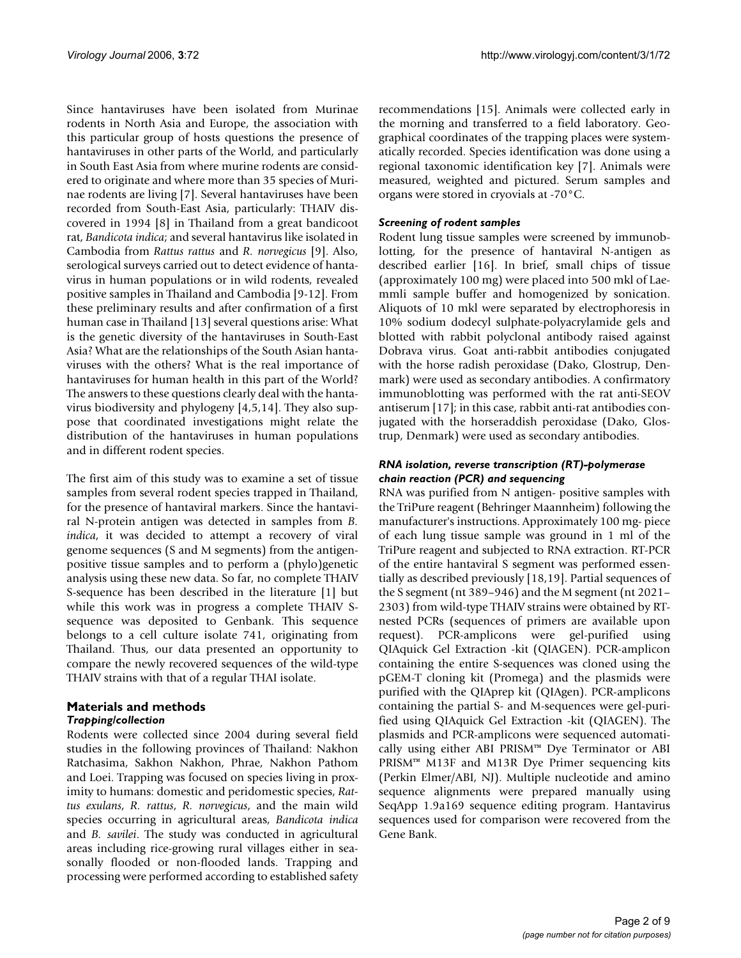Since hantaviruses have been isolated from Murinae rodents in North Asia and Europe, the association with this particular group of hosts questions the presence of hantaviruses in other parts of the World, and particularly in South East Asia from where murine rodents are considered to originate and where more than 35 species of Murinae rodents are living [7]. Several hantaviruses have been recorded from South-East Asia, particularly: THAIV discovered in 1994 [8] in Thailand from a great bandicoot rat, *Bandicota indica*; and several hantavirus like isolated in Cambodia from *Rattus rattus* and *R. norvegicus* [9]. Also, serological surveys carried out to detect evidence of hantavirus in human populations or in wild rodents, revealed positive samples in Thailand and Cambodia [9-12]. From these preliminary results and after confirmation of a first human case in Thailand [13] several questions arise: What is the genetic diversity of the hantaviruses in South-East Asia? What are the relationships of the South Asian hantaviruses with the others? What is the real importance of hantaviruses for human health in this part of the World? The answers to these questions clearly deal with the hantavirus biodiversity and phylogeny [4,5,14]. They also suppose that coordinated investigations might relate the distribution of the hantaviruses in human populations and in different rodent species.

The first aim of this study was to examine a set of tissue samples from several rodent species trapped in Thailand, for the presence of hantaviral markers. Since the hantaviral N-protein antigen was detected in samples from *B. indica*, it was decided to attempt a recovery of viral genome sequences (S and M segments) from the antigenpositive tissue samples and to perform a (phylo)genetic analysis using these new data. So far, no complete THAIV S-sequence has been described in the literature [1] but while this work was in progress a complete THAIV Ssequence was deposited to Genbank. This sequence belongs to a cell culture isolate 741, originating from Thailand. Thus, our data presented an opportunity to compare the newly recovered sequences of the wild-type THAIV strains with that of a regular THAI isolate.

# **Materials and methods** *Trapping/collection*

Rodents were collected since 2004 during several field studies in the following provinces of Thailand: Nakhon Ratchasima, Sakhon Nakhon, Phrae, Nakhon Pathom and Loei. Trapping was focused on species living in proximity to humans: domestic and peridomestic species, *Rattus exulans*, *R. rattus*, *R. norvegicus*, and the main wild species occurring in agricultural areas, *Bandicota indica* and *B. savilei*. The study was conducted in agricultural areas including rice-growing rural villages either in seasonally flooded or non-flooded lands. Trapping and processing were performed according to established safety recommendations [15]. Animals were collected early in the morning and transferred to a field laboratory. Geographical coordinates of the trapping places were systematically recorded. Species identification was done using a regional taxonomic identification key [7]. Animals were measured, weighted and pictured. Serum samples and organs were stored in cryovials at -70°C.

# *Screening of rodent samples*

Rodent lung tissue samples were screened by immunoblotting, for the presence of hantaviral N-antigen as described earlier [16]. In brief, small chips of tissue (approximately 100 mg) were placed into 500 mkl of Laemmli sample buffer and homogenized by sonication. Aliquots of 10 mkl were separated by electrophoresis in 10% sodium dodecyl sulphate-polyacrylamide gels and blotted with rabbit polyclonal antibody raised against Dobrava virus. Goat anti-rabbit antibodies conjugated with the horse radish peroxidase (Dako, Glostrup, Denmark) were used as secondary antibodies. A confirmatory immunoblotting was performed with the rat anti-SEOV antiserum [17]; in this case, rabbit anti-rat antibodies conjugated with the horseraddish peroxidase (Dako, Glostrup, Denmark) were used as secondary antibodies.

# *RNA isolation, reverse transcription (RT)-polymerase chain reaction (PCR) and sequencing*

RNA was purified from N antigen- positive samples with the TriPure reagent (Behringer Maannheim) following the manufacturer's instructions. Approximately 100 mg- piece of each lung tissue sample was ground in 1 ml of the TriPure reagent and subjected to RNA extraction. RT-PCR of the entire hantaviral S segment was performed essentially as described previously [18[,19](#page-7-0)]. Partial sequences of the S segment (nt 389–946) and the M segment (nt 2021– 2303) from wild-type THAIV strains were obtained by RTnested PCRs (sequences of primers are available upon request). PCR-amplicons were gel-purified using QIAquick Gel Extraction -kit (QIAGEN). PCR-amplicon containing the entire S-sequences was cloned using the pGEM-T cloning kit (Promega) and the plasmids were purified with the QIAprep kit (QIAgen). PCR-amplicons containing the partial S- and M-sequences were gel-purified using QIAquick Gel Extraction -kit (QIAGEN). The plasmids and PCR-amplicons were sequenced automatically using either ABI PRISM™ Dye Terminator or ABI PRISM™ M13F and M13R Dye Primer sequencing kits (Perkin Elmer/ABI, NJ). Multiple nucleotide and amino sequence alignments were prepared manually using SeqApp 1.9a169 sequence editing program. Hantavirus sequences used for comparison were recovered from the Gene Bank.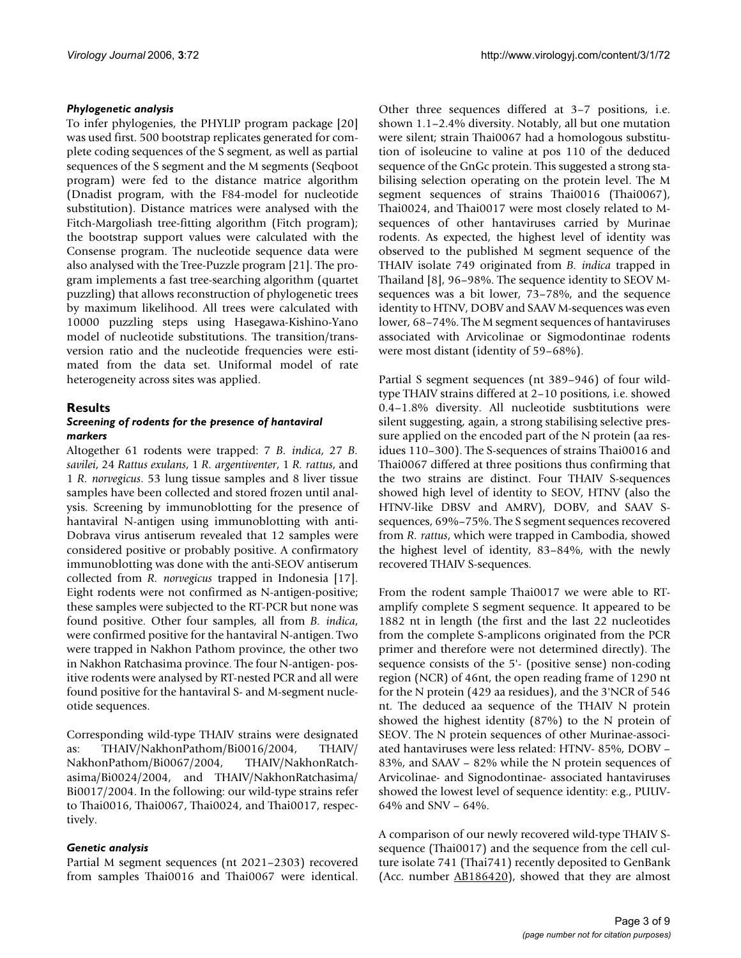# *Phylogenetic analysis*

To infer phylogenies, the PHYLIP program package [20] was used first. 500 bootstrap replicates generated for complete coding sequences of the S segment, as well as partial sequences of the S segment and the M segments (Seqboot program) were fed to the distance matrice algorithm (Dnadist program, with the F84-model for nucleotide substitution). Distance matrices were analysed with the Fitch-Margoliash tree-fitting algorithm (Fitch program); the bootstrap support values were calculated with the Consense program. The nucleotide sequence data were also analysed with the Tree-Puzzle program [21]. The program implements a fast tree-searching algorithm (quartet puzzling) that allows reconstruction of phylogenetic trees by maximum likelihood. All trees were calculated with 10000 puzzling steps using Hasegawa-Kishino-Yano model of nucleotide substitutions. The transition/transversion ratio and the nucleotide frequencies were estimated from the data set. Uniformal model of rate heterogeneity across sites was applied.

# **Results**

# *Screening of rodents for the presence of hantaviral markers*

Altogether 61 rodents were trapped: 7 *B. indica*, 27 *B. savilei*, 24 *Rattus exulans*, 1 *R. argentiventer*, 1 *R. rattus*, and 1 *R. norvegicus*. 53 lung tissue samples and 8 liver tissue samples have been collected and stored frozen until analysis. Screening by immunoblotting for the presence of hantaviral N-antigen using immunoblotting with anti-Dobrava virus antiserum revealed that 12 samples were considered positive or probably positive. A confirmatory immunoblotting was done with the anti-SEOV antiserum collected from *R. norvegicus* trapped in Indonesia [17]. Eight rodents were not confirmed as N-antigen-positive; these samples were subjected to the RT-PCR but none was found positive. Other four samples, all from *B. indica*, were confirmed positive for the hantaviral N-antigen. Two were trapped in Nakhon Pathom province, the other two in Nakhon Ratchasima province. The four N-antigen- positive rodents were analysed by RT-nested PCR and all were found positive for the hantaviral S- and M-segment nucleotide sequences.

Corresponding wild-type THAIV strains were designated as: THAIV/NakhonPathom/Bi0016/2004, THAIV/ NakhonPathom/Bi0067/2004, THAIV/NakhonRatchasima/Bi0024/2004, and THAIV/NakhonRatchasima/ Bi0017/2004. In the following: our wild-type strains refer to Thai0016, Thai0067, Thai0024, and Thai0017, respectively.

# *Genetic analysis*

Partial M segment sequences (nt 2021–2303) recovered from samples Thai0016 and Thai0067 were identical.

Other three sequences differed at 3–7 positions, i.e. shown 1.1–2.4% diversity. Notably, all but one mutation were silent; strain Thai0067 had a homologous substitution of isoleucine to valine at pos 110 of the deduced sequence of the GnGc protein. This suggested a strong stabilising selection operating on the protein level. The M segment sequences of strains Thai0016 (Thai0067), Thai0024, and Thai0017 were most closely related to Msequences of other hantaviruses carried by Murinae rodents. As expected, the highest level of identity was observed to the published M segment sequence of the THAIV isolate 749 originated from *B. indica* trapped in Thailand [8], 96–98%. The sequence identity to SEOV Msequences was a bit lower, 73–78%, and the sequence identity to HTNV, DOBV and SAAV M-sequences was even lower, 68–74%. The M segment sequences of hantaviruses associated with Arvicolinae or Sigmodontinae rodents were most distant (identity of 59–68%).

Partial S segment sequences (nt 389–946) of four wildtype THAIV strains differed at 2–10 positions, i.e. showed 0.4–1.8% diversity. All nucleotide susbtitutions were silent suggesting, again, a strong stabilising selective pressure applied on the encoded part of the N protein (aa residues 110–300). The S-sequences of strains Thai0016 and Thai0067 differed at three positions thus confirming that the two strains are distinct. Four THAIV S-sequences showed high level of identity to SEOV, HTNV (also the HTNV-like DBSV and AMRV), DOBV, and SAAV Ssequences, 69%–75%. The S segment sequences recovered from *R. rattus*, which were trapped in Cambodia, showed the highest level of identity, 83–84%, with the newly recovered THAIV S-sequences.

From the rodent sample Thai0017 we were able to RTamplify complete S segment sequence. It appeared to be 1882 nt in length (the first and the last 22 nucleotides from the complete S-amplicons originated from the PCR primer and therefore were not determined directly). The sequence consists of the 5'- (positive sense) non-coding region (NCR) of 46nt, the open reading frame of 1290 nt for the N protein (429 aa residues), and the 3'NCR of 546 nt. The deduced aa sequence of the THAIV N protein showed the highest identity (87%) to the N protein of SEOV. The N protein sequences of other Murinae-associated hantaviruses were less related: HTNV- 85%, DOBV – 83%, and SAAV – 82% while the N protein sequences of Arvicolinae- and Signodontinae- associated hantaviruses showed the lowest level of sequence identity: e.g., PUUV-64% and SNV – 64%.

A comparison of our newly recovered wild-type THAIV Ssequence (Thai0017) and the sequence from the cell culture isolate 741 (Thai741) recently deposited to GenBank (Acc. number [AB186420\)](http://www.ncbi.nih.gov/entrez/query.fcgi?db=Nucleotide&cmd=search&term=AB186420), showed that they are almost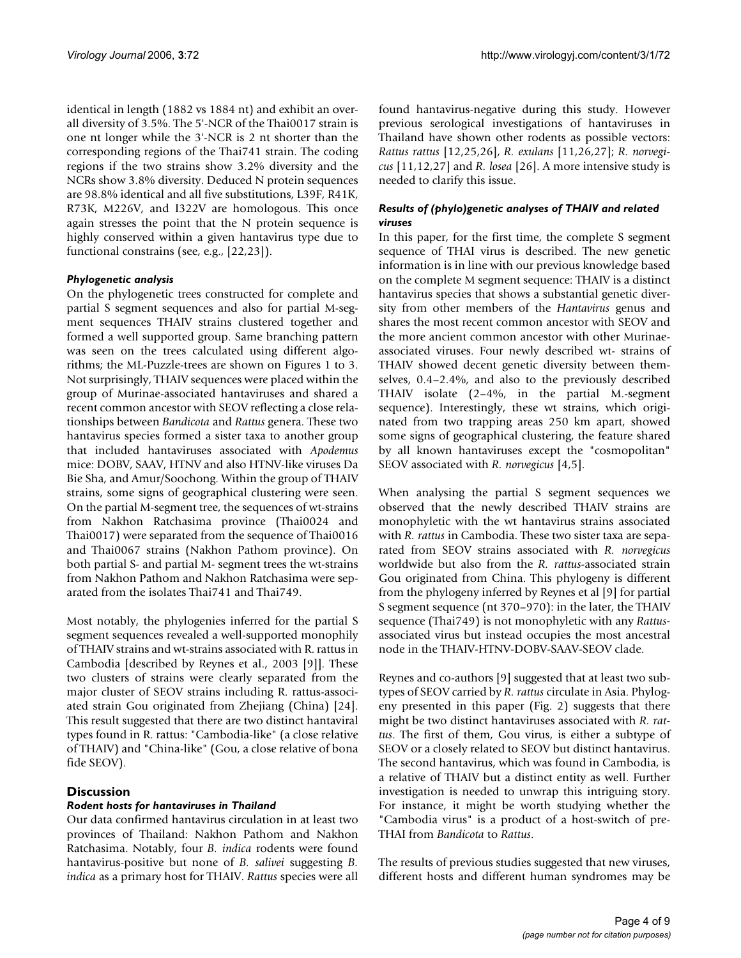identical in length (1882 vs 1884 nt) and exhibit an overall diversity of 3.5%. The 5'-NCR of the Thai0017 strain is one nt longer while the 3'-NCR is 2 nt shorter than the corresponding regions of the Thai741 strain. The coding regions if the two strains show 3.2% diversity and the NCRs show 3.8% diversity. Deduced N protein sequences are 98.8% identical and all five substitutions, L39F, R41K, R73K, M226V, and I322V are homologous. This once again stresses the point that the N protein sequence is highly conserved within a given hantavirus type due to functional constrains (see, e.g., [22,23]).

# *Phylogenetic analysis*

On the phylogenetic trees constructed for complete and partial S segment sequences and also for partial M-segment sequences THAIV strains clustered together and formed a well supported group. Same branching pattern was seen on the trees calculated using different algorithms; the ML-Puzzle-trees are shown on Figures 1 to 3. Not surprisingly, THAIV sequences were placed within the group of Murinae-associated hantaviruses and shared a recent common ancestor with SEOV reflecting a close relationships between *Bandicota* and *Rattus* genera. These two hantavirus species formed a sister taxa to another group that included hantaviruses associated with *Apodemus* mice: DOBV, SAAV, HTNV and also HTNV-like viruses Da Bie Sha, and Amur/Soochong. Within the group of THAIV strains, some signs of geographical clustering were seen. On the partial M-segment tree, the sequences of wt-strains from Nakhon Ratchasima province (Thai0024 and Thai0017) were separated from the sequence of Thai0016 and Thai0067 strains (Nakhon Pathom province). On both partial S- and partial M- segment trees the wt-strains from Nakhon Pathom and Nakhon Ratchasima were separated from the isolates Thai741 and Thai749.

Most notably, the phylogenies inferred for the partial S segment sequences revealed a well-supported monophily of THAIV strains and wt-strains associated with R. rattus in Cambodia [described by Reynes et al., 2003 [9]]. These two clusters of strains were clearly separated from the major cluster of SEOV strains including R. rattus-associated strain Gou originated from Zhejiang (China) [24]. This result suggested that there are two distinct hantaviral types found in R. rattus: "Cambodia-like" (a close relative of THAIV) and "China-like" (Gou, a close relative of bona fide SEOV).

# **Discussion**

# *Rodent hosts for hantaviruses in Thailand*

Our data confirmed hantavirus circulation in at least two provinces of Thailand: Nakhon Pathom and Nakhon Ratchasima. Notably, four *B. indica* rodents were found hantavirus-positive but none of *B. salivei* suggesting *B. indica* as a primary host for THAIV. *Rattus* species were all

found hantavirus-negative during this study. However previous serological investigations of hantaviruses in Thailand have shown other rodents as possible vectors: *Rattus rattus* [12,25,26], *R. exulans* [11,26,27]; *R. norvegicus* [11,12,27] and *R. losea* [26]. A more intensive study is needed to clarify this issue.

# *Results of (phylo)genetic analyses of THAIV and related viruses*

In this paper, for the first time, the complete S segment sequence of THAI virus is described. The new genetic information is in line with our previous knowledge based on the complete M segment sequence: THAIV is a distinct hantavirus species that shows a substantial genetic diversity from other members of the *Hantavirus* genus and shares the most recent common ancestor with SEOV and the more ancient common ancestor with other Murinaeassociated viruses. Four newly described wt- strains of THAIV showed decent genetic diversity between themselves, 0.4–2.4%, and also to the previously described THAIV isolate (2–4%, in the partial M.-segment sequence). Interestingly, these wt strains, which originated from two trapping areas 250 km apart, showed some signs of geographical clustering, the feature shared by all known hantaviruses except the "cosmopolitan" SEOV associated with *R. norvegicus* [4,5].

When analysing the partial S segment sequences we observed that the newly described THAIV strains are monophyletic with the wt hantavirus strains associated with *R. rattus* in Cambodia. These two sister taxa are separated from SEOV strains associated with *R. norvegicus* worldwide but also from the *R. rattus*-associated strain Gou originated from China. This phylogeny is different from the phylogeny inferred by Reynes et al [9] for partial S segment sequence (nt 370–970): in the later, the THAIV sequence (Thai749) is not monophyletic with any *Rattus*associated virus but instead occupies the most ancestral node in the THAIV-HTNV-DOBV-SAAV-SEOV clade.

Reynes and co-authors [9] suggested that at least two subtypes of SEOV carried by *R. rattus* circulate in Asia. Phylogeny presented in this paper (Fig. 2) suggests that there might be two distinct hantaviruses associated with *R. rattus*. The first of them, Gou virus, is either a subtype of SEOV or a closely related to SEOV but distinct hantavirus. The second hantavirus, which was found in Cambodia, is a relative of THAIV but a distinct entity as well. Further investigation is needed to unwrap this intriguing story. For instance, it might be worth studying whether the "Cambodia virus" is a product of a host-switch of pre-THAI from *Bandicota* to *Rattus*.

The results of previous studies suggested that new viruses, different hosts and different human syndromes may be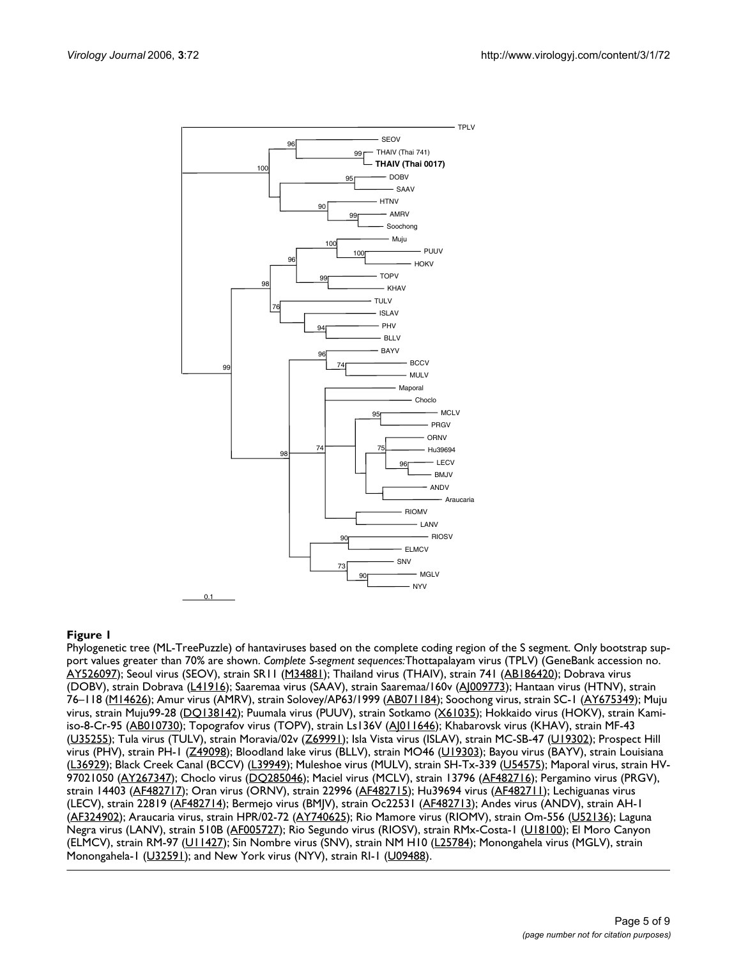

### Phylogenetic tree (ML-TreePuzzle) of **Figure 1** hantaviruses based on the complete coding region of the S segment

Phylogenetic tree (ML-TreePuzzle) of hantaviruses based on the complete coding region of the S segment. Only bootstrap support values greater than 70% are shown. *Complete S-segment sequences:*Thottapalayam virus (TPLV) (GeneBank accession no. [AY526097\)](http://www.ncbi.nih.gov/entrez/query.fcgi?db=Nucleotide&cmd=search&term=AY526097); Seoul virus (SEOV), strain SR11 [\(M34881](http://www.ncbi.nih.gov/entrez/query.fcgi?db=Nucleotide&cmd=search&term=M34881)); Thailand virus (THAIV), strain 741 ([AB186420](http://www.ncbi.nih.gov/entrez/query.fcgi?db=Nucleotide&cmd=search&term=AB186420)); Dobrava virus (DOBV), strain Dobrava [\(L41916\)](http://www.ncbi.nih.gov/entrez/query.fcgi?db=Nucleotide&cmd=search&term=L41916); Saaremaa virus (SAAV), strain Saaremaa/160v ([AJ009773\)](http://www.ncbi.nih.gov/entrez/query.fcgi?db=Nucleotide&cmd=search&term=AJ009773); Hantaan virus (HTNV), strain 76–118 ([M14626\)](http://www.ncbi.nih.gov/entrez/query.fcgi?db=Nucleotide&cmd=search&term=M14626); Amur virus (AMRV), strain Solovey/AP63/1999 ([AB071184\)](http://www.ncbi.nih.gov/entrez/query.fcgi?db=Nucleotide&cmd=search&term=AB071184); Soochong virus, strain SC-1 ([AY675349](http://www.ncbi.nih.gov/entrez/query.fcgi?db=Nucleotide&cmd=search&term=AY675349)); Muju virus, strain Muju99-28 [\(DQ138142](http://www.ncbi.nih.gov/entrez/query.fcgi?db=Nucleotide&cmd=search&term=DQ138142)); Puumala virus (PUUV), strain Sotkamo [\(X61035](http://www.ncbi.nih.gov/entrez/query.fcgi?db=Nucleotide&cmd=search&term=X61035)); Hokkaido virus (HOKV), strain Kami-iso-8-Cr-95 [\(AB010730](http://www.ncbi.nih.gov/entrez/query.fcgi?db=Nucleotide&cmd=search&term=AB010730)); Topografov virus (TOPV), strain Ls136V (Al011646); Khabarovsk virus (KHAV), strain MF-43 [\(U35255\)](http://www.ncbi.nih.gov/entrez/query.fcgi?db=Nucleotide&cmd=search&term=U35255); Tula virus (TULV), strain Moravia/02v [\(Z69991\)](http://www.ncbi.nih.gov/entrez/query.fcgi?db=Nucleotide&cmd=search&term=Z69991); Isla Vista virus (ISLAV), strain MC-SB-47 ([U19302\)](http://www.ncbi.nih.gov/entrez/query.fcgi?db=Nucleotide&cmd=search&term=U19302); Prospect Hill virus (PHV), strain PH-1 [\(Z49098](http://www.ncbi.nih.gov/entrez/query.fcgi?db=Nucleotide&cmd=search&term=Z49098)); Bloodland lake virus (BLLV), strain MO46 ([U19303](http://www.ncbi.nih.gov/entrez/query.fcgi?db=Nucleotide&cmd=search&term=U19303)); Bayou virus (BAYV), strain Louisiana [\(L36929](http://www.ncbi.nih.gov/entrez/query.fcgi?db=Nucleotide&cmd=search&term=L36929)); Black Creek Canal (BCCV) ([L39949\)](http://www.ncbi.nih.gov/entrez/query.fcgi?db=Nucleotide&cmd=search&term=L39949); Muleshoe virus (MULV), strain SH-Tx-339 [\(U54575](http://www.ncbi.nih.gov/entrez/query.fcgi?db=Nucleotide&cmd=search&term=U54575)); Maporal virus, strain HV-97021050 ([AY267347](http://www.ncbi.nih.gov/entrez/query.fcgi?db=Nucleotide&cmd=search&term=AY267347)); Choclo virus ([DQ285046](http://www.ncbi.nih.gov/entrez/query.fcgi?db=Nucleotide&cmd=search&term=DQ285046)); Maciel virus (MCLV), strain 13796 ([AF482716\)](http://www.ncbi.nih.gov/entrez/query.fcgi?db=Nucleotide&cmd=search&term=AF482716); Pergamino virus (PRGV), strain 14403 [\(AF482717](http://www.ncbi.nih.gov/entrez/query.fcgi?db=Nucleotide&cmd=search&term=AF482717)); Oran virus (ORNV), strain 22996 ([AF482715](http://www.ncbi.nih.gov/entrez/query.fcgi?db=Nucleotide&cmd=search&term=AF482715)); Hu39694 virus ([AF482711](http://www.ncbi.nih.gov/entrez/query.fcgi?db=Nucleotide&cmd=search&term=AF482711)); Lechiguanas virus (LECV), strain 22819 ([AF482714\)](http://www.ncbi.nih.gov/entrez/query.fcgi?db=Nucleotide&cmd=search&term=AF482714); Bermejo virus (BMJV), strain Oc22531 [\(AF482713\)](http://www.ncbi.nih.gov/entrez/query.fcgi?db=Nucleotide&cmd=search&term=AF482713); Andes virus (ANDV), strain AH-1 [\(AF324902\)](http://www.ncbi.nih.gov/entrez/query.fcgi?db=Nucleotide&cmd=search&term=AF324902); Araucaria virus, strain HPR/02-72 ([AY740625](http://www.ncbi.nih.gov/entrez/query.fcgi?db=Nucleotide&cmd=search&term=AY740625)); Rio Mamore virus (RIOMV), strain Om-556 ([U52136\)](http://www.ncbi.nih.gov/entrez/query.fcgi?db=Nucleotide&cmd=search&term=U52136); Laguna Negra virus (LANV), strain 510B [\(AF005727\)](http://www.ncbi.nih.gov/entrez/query.fcgi?db=Nucleotide&cmd=search&term=AF005727); Rio Segundo virus (RIOSV), strain RMx-Costa-1 ([U18100\)](http://www.ncbi.nih.gov/entrez/query.fcgi?db=Nucleotide&cmd=search&term=U18100); El Moro Canyon (ELMCV), strain RM-97 [\(U11427](http://www.ncbi.nih.gov/entrez/query.fcgi?db=Nucleotide&cmd=search&term=U11427)); Sin Nombre virus (SNV), strain NM H10 [\(L25784](http://www.ncbi.nih.gov/entrez/query.fcgi?db=Nucleotide&cmd=search&term=L25784)); Monongahela virus (MGLV), strain Monongahela-1 [\(U32591](http://www.ncbi.nih.gov/entrez/query.fcgi?db=Nucleotide&cmd=search&term=U32591)); and New York virus (NYV), strain RI-1 ([U09488\)](http://www.ncbi.nih.gov/entrez/query.fcgi?db=Nucleotide&cmd=search&term=U09488).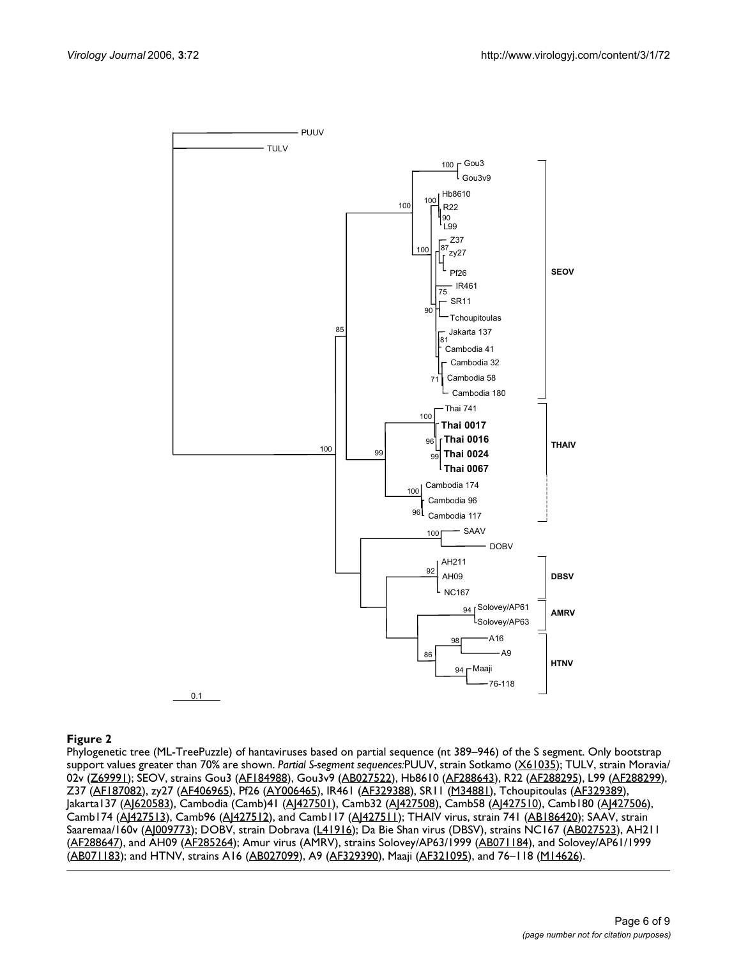

# Phylogenetic tree (ML-TreePuzzle) of hantaviruses ba **Figure 2** sed on partial sequence (nt 389–946) of the S segment

Phylogenetic tree (ML-TreePuzzle) of hantaviruses based on partial sequence (nt 389–946) of the S segment. Only bootstrap support values greater than 70% are shown. *Partial S-segment sequences:*PUUV, strain Sotkamo [\(X61035\)](http://www.ncbi.nih.gov/entrez/query.fcgi?db=Nucleotide&cmd=search&term=X61035); TULV, strain Moravia/ 02v ([Z69991](http://www.ncbi.nih.gov/entrez/query.fcgi?db=Nucleotide&cmd=search&term=Z69991)); SEOV, strains Gou3 [\(AF184988\)](http://www.ncbi.nih.gov/entrez/query.fcgi?db=Nucleotide&cmd=search&term=AF184988), Gou3v9 [\(AB027522\)](http://www.ncbi.nih.gov/entrez/query.fcgi?db=Nucleotide&cmd=search&term=AB027522), Hb8610 [\(AF288643\)](http://www.ncbi.nih.gov/entrez/query.fcgi?db=Nucleotide&cmd=search&term=AF288643), R22 ([AF288295](http://www.ncbi.nih.gov/entrez/query.fcgi?db=Nucleotide&cmd=search&term=AF288295)), L99 ([AF288299](http://www.ncbi.nih.gov/entrez/query.fcgi?db=Nucleotide&cmd=search&term=AF288299)), Z37 [\(AF187082](http://www.ncbi.nih.gov/entrez/query.fcgi?db=Nucleotide&cmd=search&term=AF187082)), zy27 [\(AF406965](http://www.ncbi.nih.gov/entrez/query.fcgi?db=Nucleotide&cmd=search&term=AF406965)), Pf26 [\(AY006465\)](http://www.ncbi.nih.gov/entrez/query.fcgi?db=Nucleotide&cmd=search&term=AY006465), IR461 ([AF329388](http://www.ncbi.nih.gov/entrez/query.fcgi?db=Nucleotide&cmd=search&term=AF329388)), SR11 ([M34881\)](http://www.ncbi.nih.gov/entrez/query.fcgi?db=Nucleotide&cmd=search&term=M34881), Tchoupitoulas [\(AF329389\)](http://www.ncbi.nih.gov/entrez/query.fcgi?db=Nucleotide&cmd=search&term=AF329389), Jakarta137 [\(AJ620583](http://www.ncbi.nih.gov/entrez/query.fcgi?db=Nucleotide&cmd=search&term=AJ620583)), Cambodia (Camb)41 [\(AJ427501\)](http://www.ncbi.nih.gov/entrez/query.fcgi?db=Nucleotide&cmd=search&term=AJ427501), Camb32 ([AJ427508\)](http://www.ncbi.nih.gov/entrez/query.fcgi?db=Nucleotide&cmd=search&term=AJ427508), Camb58 ([AJ427510\)](http://www.ncbi.nih.gov/entrez/query.fcgi?db=Nucleotide&cmd=search&term=AJ427510), Camb180 ([AJ427506\)](http://www.ncbi.nih.gov/entrez/query.fcgi?db=Nucleotide&cmd=search&term=AJ427506), Camb174 [\(AJ427513](http://www.ncbi.nih.gov/entrez/query.fcgi?db=Nucleotide&cmd=search&term=AJ427513)), Camb96 [\(AJ427512](http://www.ncbi.nih.gov/entrez/query.fcgi?db=Nucleotide&cmd=search&term=AJ427512)), and Camb117 ([AJ427511\)](http://www.ncbi.nih.gov/entrez/query.fcgi?db=Nucleotide&cmd=search&term=AJ427511); THAIV virus, strain 741 [\(AB186420](http://www.ncbi.nih.gov/entrez/query.fcgi?db=Nucleotide&cmd=search&term=AB186420)); SAAV, strain Saaremaa/160v ([AJ009773\)](http://www.ncbi.nih.gov/entrez/query.fcgi?db=Nucleotide&cmd=search&term=AJ009773); DOBV, strain Dobrava ([L41916\)](http://www.ncbi.nih.gov/entrez/query.fcgi?db=Nucleotide&cmd=search&term=L41916); Da Bie Shan virus (DBSV), strains NC167 [\(AB027523\)](http://www.ncbi.nih.gov/entrez/query.fcgi?db=Nucleotide&cmd=search&term=AB027523), AH211 [\(AF288647\)](http://www.ncbi.nih.gov/entrez/query.fcgi?db=Nucleotide&cmd=search&term=AF288647), and AH09 [\(AF285264\)](http://www.ncbi.nih.gov/entrez/query.fcgi?db=Nucleotide&cmd=search&term=AF285264); Amur virus (AMRV), strains Solovey/AP63/1999 ([AB071184\)](http://www.ncbi.nih.gov/entrez/query.fcgi?db=Nucleotide&cmd=search&term=AB071184), and Solovey/AP61/1999 [\(AB071183](http://www.ncbi.nih.gov/entrez/query.fcgi?db=Nucleotide&cmd=search&term=AB071183)); and HTNV, strains A16 ([AB027099](http://www.ncbi.nih.gov/entrez/query.fcgi?db=Nucleotide&cmd=search&term=AB027099)), A9 [\(AF329390\)](http://www.ncbi.nih.gov/entrez/query.fcgi?db=Nucleotide&cmd=search&term=AF329390), Maaji ([AF321095\)](http://www.ncbi.nih.gov/entrez/query.fcgi?db=Nucleotide&cmd=search&term=AF321095), and 76–118 ([M14626\)](http://www.ncbi.nih.gov/entrez/query.fcgi?db=Nucleotide&cmd=search&term=M14626).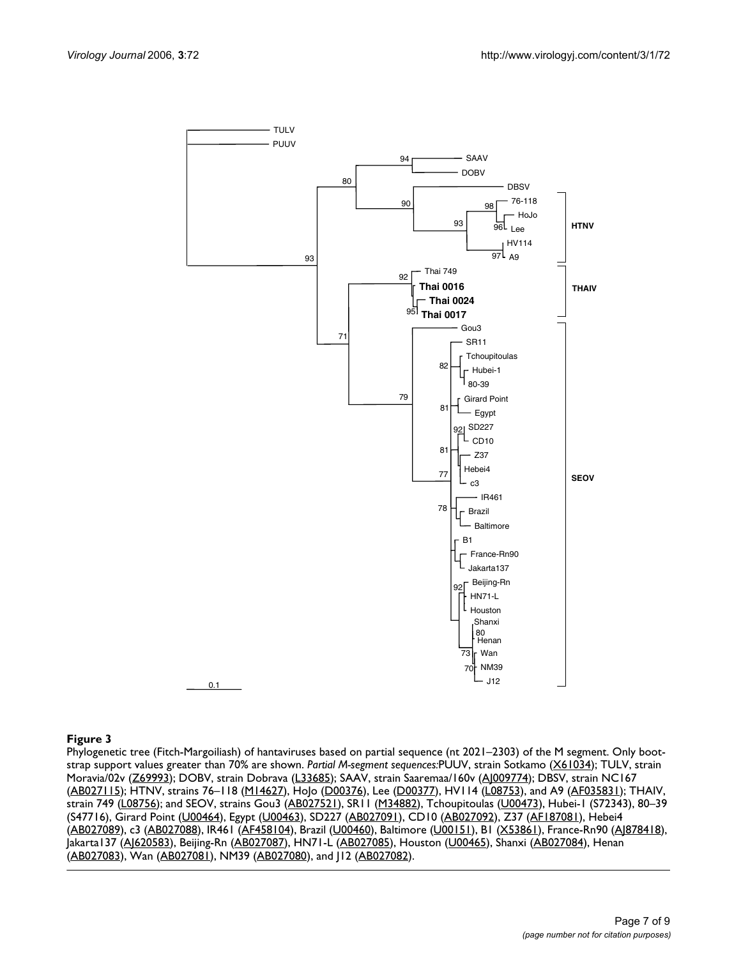

#### Phylogenetic tree (Fitch-Margoiliash) of hantaviruses **Figure 3** based on partial sequence (nt 2021–2303) of the M segment

Phylogenetic tree (Fitch-Margoiliash) of hantaviruses based on partial sequence (nt 2021–2303) of the M segment. Only bootstrap support values greater than 70% are shown. *Partial M-segment sequences:*PUUV, strain Sotkamo [\(X61034](http://www.ncbi.nih.gov/entrez/query.fcgi?db=Nucleotide&cmd=search&term=X61034)); TULV, strain Moravia/02v [\(Z69993\)](http://www.ncbi.nih.gov/entrez/query.fcgi?db=Nucleotide&cmd=search&term=Z69993); DOBV, strain Dobrava ([L33685](http://www.ncbi.nih.gov/entrez/query.fcgi?db=Nucleotide&cmd=search&term=L33685)); SAAV, strain Saaremaa/160v [\(AJ009774\)](http://www.ncbi.nih.gov/entrez/query.fcgi?db=Nucleotide&cmd=search&term=AJ009774); DBSV, strain NC167 [\(AB027115](http://www.ncbi.nih.gov/entrez/query.fcgi?db=Nucleotide&cmd=search&term=AB027115)); HTNV, strains 76–118 [\(M14627](http://www.ncbi.nih.gov/entrez/query.fcgi?db=Nucleotide&cmd=search&term=M14627)), HoJo [\(D00376\)](http://www.ncbi.nih.gov/entrez/query.fcgi?db=Nucleotide&cmd=search&term=D00376), Lee ([D00377\)](http://www.ncbi.nih.gov/entrez/query.fcgi?db=Nucleotide&cmd=search&term=D00377), HV114 ([L08753](http://www.ncbi.nih.gov/entrez/query.fcgi?db=Nucleotide&cmd=search&term=L08753)), and A9 ([AF035831](http://www.ncbi.nih.gov/entrez/query.fcgi?db=Nucleotide&cmd=search&term=AF035831)); THAIV, strain 749 [\(L08756](http://www.ncbi.nih.gov/entrez/query.fcgi?db=Nucleotide&cmd=search&term=L08756)); and SEOV, strains Gou3 ([AB027521](http://www.ncbi.nih.gov/entrez/query.fcgi?db=Nucleotide&cmd=search&term=AB027521)), SR11 ([M34882\)](http://www.ncbi.nih.gov/entrez/query.fcgi?db=Nucleotide&cmd=search&term=M34882), Tchoupitoulas ([U00473](http://www.ncbi.nih.gov/entrez/query.fcgi?db=Nucleotide&cmd=search&term=U00473)), Hubei-1 (S72343), 80-39 (S47716), Girard Point [\(U00464\)](http://www.ncbi.nih.gov/entrez/query.fcgi?db=Nucleotide&cmd=search&term=U00464), Egypt ([U00463](http://www.ncbi.nih.gov/entrez/query.fcgi?db=Nucleotide&cmd=search&term=U00463)), SD227 [\(AB027091](http://www.ncbi.nih.gov/entrez/query.fcgi?db=Nucleotide&cmd=search&term=AB027091)), CD10 [\(AB027092](http://www.ncbi.nih.gov/entrez/query.fcgi?db=Nucleotide&cmd=search&term=AB027092)), Z37 [\(AF187081\)](http://www.ncbi.nih.gov/entrez/query.fcgi?db=Nucleotide&cmd=search&term=AF187081), Hebei4 [\(AB027089](http://www.ncbi.nih.gov/entrez/query.fcgi?db=Nucleotide&cmd=search&term=AB027089)), c3 [\(AB027088](http://www.ncbi.nih.gov/entrez/query.fcgi?db=Nucleotide&cmd=search&term=AB027088)), IR461 ([AF458104\)](http://www.ncbi.nih.gov/entrez/query.fcgi?db=Nucleotide&cmd=search&term=AF458104), Brazil [\(U00460](http://www.ncbi.nih.gov/entrez/query.fcgi?db=Nucleotide&cmd=search&term=U00460)), Baltimore [\(U00151\)](http://www.ncbi.nih.gov/entrez/query.fcgi?db=Nucleotide&cmd=search&term=U00151), B1 [\(X53861\)](http://www.ncbi.nih.gov/entrez/query.fcgi?db=Nucleotide&cmd=search&term=X53861), France-Rn90 [\(AJ878418](http://www.ncbi.nih.gov/entrez/query.fcgi?db=Nucleotide&cmd=search&term=AJ878418)), Jakarta137 [\(AJ620583](http://www.ncbi.nih.gov/entrez/query.fcgi?db=Nucleotide&cmd=search&term=AJ620583)), Beijing-Rn ([AB027087\)](http://www.ncbi.nih.gov/entrez/query.fcgi?db=Nucleotide&cmd=search&term=AB027087), HN71-L ([AB027085](http://www.ncbi.nih.gov/entrez/query.fcgi?db=Nucleotide&cmd=search&term=AB027085)), Houston ([U00465\)](http://www.ncbi.nih.gov/entrez/query.fcgi?db=Nucleotide&cmd=search&term=U00465), Shanxi [\(AB027084](http://www.ncbi.nih.gov/entrez/query.fcgi?db=Nucleotide&cmd=search&term=AB027084)), Henan [\(AB027083](http://www.ncbi.nih.gov/entrez/query.fcgi?db=Nucleotide&cmd=search&term=AB027083)), Wan [\(AB027081\)](http://www.ncbi.nih.gov/entrez/query.fcgi?db=Nucleotide&cmd=search&term=AB027081), NM39 [\(AB027080\)](http://www.ncbi.nih.gov/entrez/query.fcgi?db=Nucleotide&cmd=search&term=AB027080), and J12 [\(AB027082\)](http://www.ncbi.nih.gov/entrez/query.fcgi?db=Nucleotide&cmd=search&term=AB027082).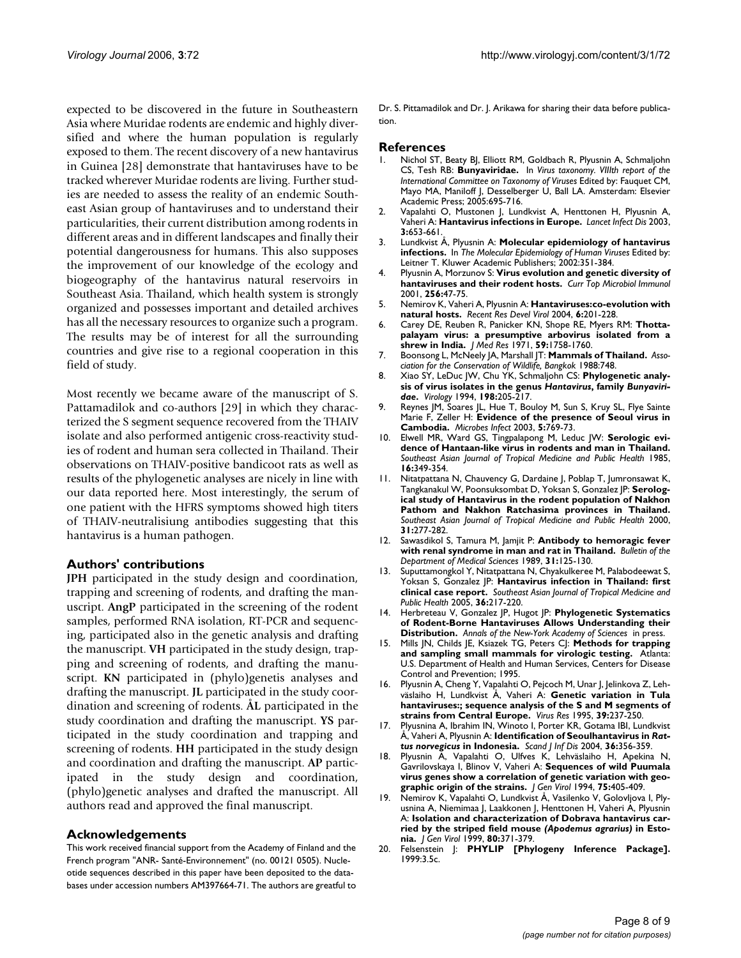expected to be discovered in the future in Southeastern Asia where Muridae rodents are endemic and highly diversified and where the human population is regularly exposed to them. The recent discovery of a new hantavirus in Guinea [28] demonstrate that hantaviruses have to be tracked wherever Muridae rodents are living. Further studies are needed to assess the reality of an endemic Southeast Asian group of hantaviruses and to understand their particularities, their current distribution among rodents in different areas and in different landscapes and finally their potential dangerousness for humans. This also supposes the improvement of our knowledge of the ecology and biogeography of the hantavirus natural reservoirs in Southeast Asia. Thailand, which health system is strongly organized and possesses important and detailed archives has all the necessary resources to organize such a program. The results may be of interest for all the surrounding countries and give rise to a regional cooperation in this field of study.

Most recently we became aware of the manuscript of S. Pattamadilok and co-authors [29] in which they characterized the S segment sequence recovered from the THAIV isolate and also performed antigenic cross-reactivity studies of rodent and human sera collected in Thailand. Their observations on THAIV-positive bandicoot rats as well as results of the phylogenetic analyses are nicely in line with our data reported here. Most interestingly, the serum of one patient with the HFRS symptoms showed high titers of THAIV-neutralisiung antibodies suggesting that this hantavirus is a human pathogen.

#### **Authors' contributions**

**JPH** participated in the study design and coordination, trapping and screening of rodents, and drafting the manuscript. **AngP** participated in the screening of the rodent samples, performed RNA isolation, RT-PCR and sequencing, participated also in the genetic analysis and drafting the manuscript. **VH** participated in the study design, trapping and screening of rodents, and drafting the manuscript. **KN** participated in (phylo)genetis analyses and drafting the manuscript. **JL** participated in the study coordination and screening of rodents. **ÅL** participated in the study coordination and drafting the manuscript. **YS** participated in the study coordination and trapping and screening of rodents. **HH** participated in the study design and coordination and drafting the manuscript. **AP** participated in the study design and coordination, (phylo)genetic analyses and drafted the manuscript. All authors read and approved the final manuscript.

#### **Acknowledgements**

This work received financial support from the Academy of Finland and the French program "ANR- Santé-Environnement" (no. 00121 0505). Nucleotide sequences described in this paper have been deposited to the databases under accession numbers AM397664-71. The authors are greatful to

Dr. S. Pittamadilok and Dr. J. Arikawa for sharing their data before publication.

#### **References**

- 1. Nichol ST, Beaty BJ, Elliott RM, Goldbach R, Plyusnin A, Schmaljohn CS, Tesh RB: **Bunyaviridae.** In *Virus taxonomy. VIIIth report of the International Committee on Taxonomy of Viruses* Edited by: Fauquet CM, Mayo MA, Maniloff J, Desselberger U, Ball LA. Amsterdam: Elsevier Academic Press; 2005:695-716.
- 2. Vapalahti O, Mustonen J, Lundkvist A, Henttonen H, Plyusnin A, Vaheri A: **[Hantavirus infections in Europe.](http://www.ncbi.nlm.nih.gov/entrez/query.fcgi?cmd=Retrieve&db=PubMed&dopt=Abstract&list_uids=14522264)** *Lancet Infect Dis* 2003, **3:**653-661.
- 3. Lundkvist Å, Plyusnin A: **Molecular epidemiology of hantavirus infections.** In *The Molecular Epidemiology of Human Viruses* Edited by: Leitner T. Kluwer Academic Publishers; 2002:351-384.
- 4. Plyusnin A, Morzunov S: **[Virus evolution and genetic diversity of](http://www.ncbi.nlm.nih.gov/entrez/query.fcgi?cmd=Retrieve&db=PubMed&dopt=Abstract&list_uids=11217406) [hantaviruses and their rodent hosts.](http://www.ncbi.nlm.nih.gov/entrez/query.fcgi?cmd=Retrieve&db=PubMed&dopt=Abstract&list_uids=11217406)** *Curr Top Microbiol Immunol* 2001, **256:**47-75.
- 5. Nemirov K, Vaheri A, Plyusnin A: **Hantaviruses:co-evolution with natural hosts.** *Recent Res Devel Virol* 2004, **6:**201-228.
- 6. Carey DE, Reuben R, Panicker KN, Shope RE, Myers RM: **Thottapalayam virus: a presumptive arbovirus isolated from a shrew in India.** *J Med Res* 1971, **59:**1758-1760.
- 7. Boonsong L, McNeely JA, Marshall JT: **Mammals of Thailand.** *Association for the Conservation of Wildlife, Bangkok* 1988:748.
- 8. Xiao SY, LeDuc JW, Chu YK, Schmaljohn CS: **Phylogenetic analysis of virus isolates in the genus** *Hantavirus***, family** *Bunyaviridae***[.](http://www.ncbi.nlm.nih.gov/entrez/query.fcgi?cmd=Retrieve&db=PubMed&dopt=Abstract&list_uids=8259656)** *Virology* 1994, **198:**205-217.
- 9. Reynes JM, Soares JL, Hue T, Bouloy M, Sun S, Kruy SL, Flye Sainte Marie F, Zeller H: **[Evidence of the presence of Seoul virus in](http://www.ncbi.nlm.nih.gov/entrez/query.fcgi?cmd=Retrieve&db=PubMed&dopt=Abstract&list_uids=12850202) [Cambodia.](http://www.ncbi.nlm.nih.gov/entrez/query.fcgi?cmd=Retrieve&db=PubMed&dopt=Abstract&list_uids=12850202)** *Microbes Infect* 2003, **5:**769-73.
- 10. Elwell MR, Ward GS, Tingpalapong M, Leduc JW: **Serologic evidence of Hantaan-like virus in rodents and man in Thailand.** *Southeast Asian Journal of Tropical Medicine and Public Health* 1985, **16:**349-354.
- 11. Nitatpattana N, Chauvency G, Dardaine J, Poblap T, Jumronsawat K, Tangkanakul W, Poonsuksombat D, Yoksan S, Gonzalez JP: **Serological study of Hantavirus in the rodent population of Nakhon Pathom and Nakhon Ratchasima provinces in Thailand.** *Southeast Asian Journal of Tropical Medicine and Public Health* 2000, **31:**277-282.
- 12. Sawasdikol S, Tamura M, Jamjit P: **Antibody to hemoragic fever with renal syndrome in man and rat in Thailand.** *Bulletin of the Department of Medical Sciences* 1989, **31:**125-130.
- Suputtamongkol Y, Nitatpattana N, Chyakulkeree M, Palabodeewat S, Yoksan S, Gonzalez JP: **Hantavirus infection in Thailand: first clinical case report.** *Southeast Asian Journal of Tropical Medicine and Public Health* 2005, **36:**217-220.
- 14. Herbreteau V, Gonzalez JP, Hugot JP: **Phylogenetic Systematics of Rodent-Borne Hantaviruses Allows Understanding their Distribution.** *Annals of the New-York Academy of Sciences* in press.
- 15. Mills JN, Childs JE, Ksiazek TG, Peters CJ: **Methods for trapping and sampling small mammals for virologic testing.** Atlanta: U.S. Department of Health and Human Services, Centers for Disease Control and Prevention; 1995.
- 16. Plyusnin A, Cheng Y, Vapalahti O, Pejcoch M, Unar J, Jelinkova Z, Lehväslaiho H, Lundkvist Å, Vaheri A: **[Genetic variation in Tula](http://www.ncbi.nlm.nih.gov/entrez/query.fcgi?cmd=Retrieve&db=PubMed&dopt=Abstract&list_uids=8837887) [hantaviruses:; sequence analysis of the S and M segments of](http://www.ncbi.nlm.nih.gov/entrez/query.fcgi?cmd=Retrieve&db=PubMed&dopt=Abstract&list_uids=8837887) [strains from Central Europe.](http://www.ncbi.nlm.nih.gov/entrez/query.fcgi?cmd=Retrieve&db=PubMed&dopt=Abstract&list_uids=8837887)** *Virus Res* 1995, **39:**237-250.
- 17. Plyusnina A, Ibrahim IN, Winoto I, Porter KR, Gotama IBI, Lundkvist Å, Vaheri A, Plyusnin A: **Identification of Seoulhantavirus in** *Rattus norvegicus* **in Indonesia.** *Scand J Inf Dis* 2004, **36:**356-359.
- 18. Plyusnin A, Vapalahti O, Ulfves K, Lehväslaiho H, Apekina N, Gavrilovskaya I, Blinov V, Vaheri A: **[Sequences of wild Puumala](http://www.ncbi.nlm.nih.gov/entrez/query.fcgi?cmd=Retrieve&db=PubMed&dopt=Abstract&list_uids=8113763) [virus genes show a correlation of genetic variation with geo](http://www.ncbi.nlm.nih.gov/entrez/query.fcgi?cmd=Retrieve&db=PubMed&dopt=Abstract&list_uids=8113763)[graphic origin of the strains.](http://www.ncbi.nlm.nih.gov/entrez/query.fcgi?cmd=Retrieve&db=PubMed&dopt=Abstract&list_uids=8113763)** *J Gen Virol* 1994, **75:**405-409.
- <span id="page-7-0"></span>19. Nemirov K, Vapalahti O, Lundkvist Å, Vasilenko V, Golovljova I, Plyusnina A, Niemimaa J, Laakkonen J, Henttonen H, Vaheri A, Plyusnin A: **Isolation and characterization of Dobrava hantavirus carried by the striped field mouse** *(Apodemus agrarius)* **[in Esto](http://www.ncbi.nlm.nih.gov/entrez/query.fcgi?cmd=Retrieve&db=PubMed&dopt=Abstract&list_uids=10073697)[nia.](http://www.ncbi.nlm.nih.gov/entrez/query.fcgi?cmd=Retrieve&db=PubMed&dopt=Abstract&list_uids=10073697)** *J Gen Virol* 1999, **80:**371-379.
- 20. Felsenstein J: **PHYLIP [Phylogeny Inference Package].** 1999:3.5c.